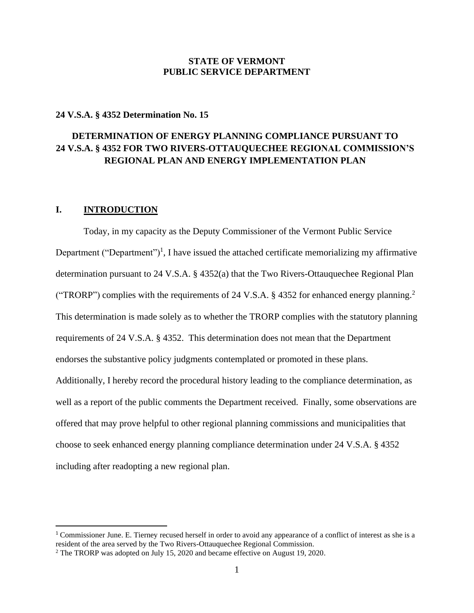### **STATE OF VERMONT PUBLIC SERVICE DEPARTMENT**

### **24 V.S.A. § 4352 Determination No. 15**

# **DETERMINATION OF ENERGY PLANNING COMPLIANCE PURSUANT TO 24 V.S.A. § 4352 FOR TWO RIVERS-OTTAUQUECHEE REGIONAL COMMISSION'S REGIONAL PLAN AND ENERGY IMPLEMENTATION PLAN**

# **I. INTRODUCTION**

Today, in my capacity as the Deputy Commissioner of the Vermont Public Service Department ("Department")<sup>1</sup>, I have issued the attached certificate memorializing my affirmative determination pursuant to 24 V.S.A. § 4352(a) that the Two Rivers-Ottauquechee Regional Plan ("TRORP") complies with the requirements of 24 V.S.A. § 4352 for enhanced energy planning.<sup>2</sup> This determination is made solely as to whether the TRORP complies with the statutory planning requirements of 24 V.S.A. § 4352. This determination does not mean that the Department endorses the substantive policy judgments contemplated or promoted in these plans. Additionally, I hereby record the procedural history leading to the compliance determination, as well as a report of the public comments the Department received. Finally, some observations are offered that may prove helpful to other regional planning commissions and municipalities that choose to seek enhanced energy planning compliance determination under 24 V.S.A. § 4352 including after readopting a new regional plan.

<sup>1</sup> Commissioner June. E. Tierney recused herself in order to avoid any appearance of a conflict of interest as she is a resident of the area served by the Two Rivers-Ottauquechee Regional Commission.

<sup>&</sup>lt;sup>2</sup> The TRORP was adopted on July 15, 2020 and became effective on August 19, 2020.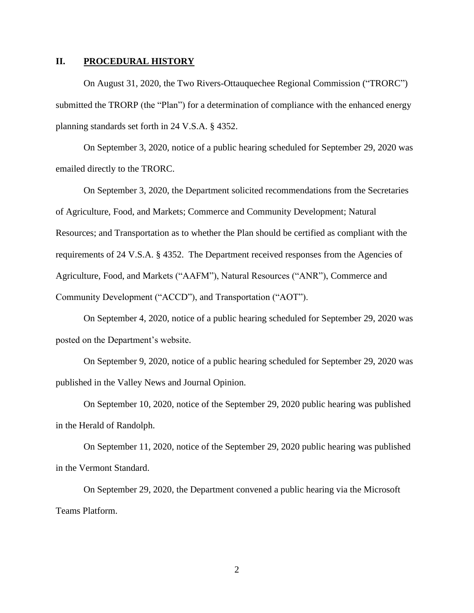### **II. PROCEDURAL HISTORY**

On August 31, 2020, the Two Rivers-Ottauquechee Regional Commission ("TRORC") submitted the TRORP (the "Plan") for a determination of compliance with the enhanced energy planning standards set forth in 24 V.S.A. § 4352.

On September 3, 2020, notice of a public hearing scheduled for September 29, 2020 was emailed directly to the TRORC.

On September 3, 2020, the Department solicited recommendations from the Secretaries of Agriculture, Food, and Markets; Commerce and Community Development; Natural Resources; and Transportation as to whether the Plan should be certified as compliant with the requirements of 24 V.S.A. § 4352. The Department received responses from the Agencies of Agriculture, Food, and Markets ("AAFM"), Natural Resources ("ANR"), Commerce and Community Development ("ACCD"), and Transportation ("AOT").

On September 4, 2020, notice of a public hearing scheduled for September 29, 2020 was posted on the Department's website.

On September 9, 2020, notice of a public hearing scheduled for September 29, 2020 was published in the Valley News and Journal Opinion.

On September 10, 2020, notice of the September 29, 2020 public hearing was published in the Herald of Randolph.

On September 11, 2020, notice of the September 29, 2020 public hearing was published in the Vermont Standard.

On September 29, 2020, the Department convened a public hearing via the Microsoft Teams Platform.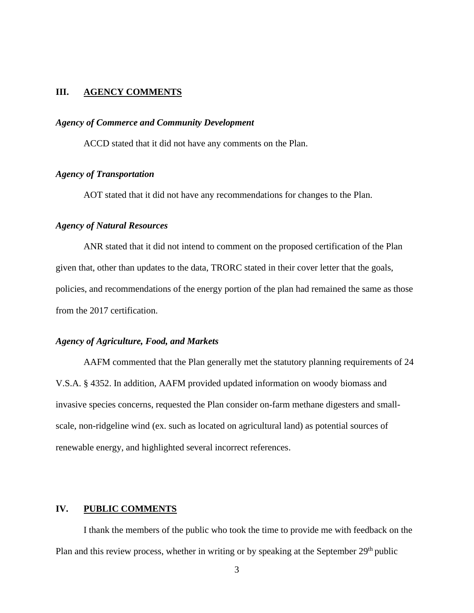#### **III. AGENCY COMMENTS**

#### *Agency of Commerce and Community Development*

ACCD stated that it did not have any comments on the Plan.

#### *Agency of Transportation*

AOT stated that it did not have any recommendations for changes to the Plan.

## *Agency of Natural Resources*

ANR stated that it did not intend to comment on the proposed certification of the Plan given that, other than updates to the data, TRORC stated in their cover letter that the goals, policies, and recommendations of the energy portion of the plan had remained the same as those from the 2017 certification.

#### *Agency of Agriculture, Food, and Markets*

AAFM commented that the Plan generally met the statutory planning requirements of 24 V.S.A. § 4352. In addition, AAFM provided updated information on woody biomass and invasive species concerns, requested the Plan consider on-farm methane digesters and smallscale, non-ridgeline wind (ex. such as located on agricultural land) as potential sources of renewable energy, and highlighted several incorrect references.

#### **IV. PUBLIC COMMENTS**

I thank the members of the public who took the time to provide me with feedback on the Plan and this review process, whether in writing or by speaking at the September 29<sup>th</sup> public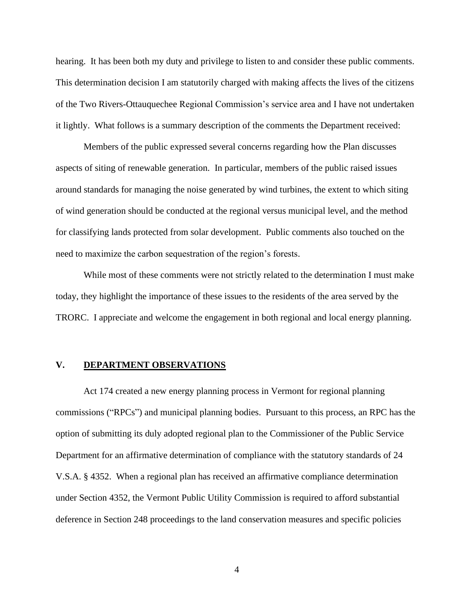hearing. It has been both my duty and privilege to listen to and consider these public comments. This determination decision I am statutorily charged with making affects the lives of the citizens of the Two Rivers-Ottauquechee Regional Commission's service area and I have not undertaken it lightly. What follows is a summary description of the comments the Department received:

Members of the public expressed several concerns regarding how the Plan discusses aspects of siting of renewable generation. In particular, members of the public raised issues around standards for managing the noise generated by wind turbines, the extent to which siting of wind generation should be conducted at the regional versus municipal level, and the method for classifying lands protected from solar development. Public comments also touched on the need to maximize the carbon sequestration of the region's forests.

While most of these comments were not strictly related to the determination I must make today, they highlight the importance of these issues to the residents of the area served by the TRORC. I appreciate and welcome the engagement in both regional and local energy planning.

#### **V. DEPARTMENT OBSERVATIONS**

Act 174 created a new energy planning process in Vermont for regional planning commissions ("RPCs") and municipal planning bodies. Pursuant to this process, an RPC has the option of submitting its duly adopted regional plan to the Commissioner of the Public Service Department for an affirmative determination of compliance with the statutory standards of 24 V.S.A. § 4352. When a regional plan has received an affirmative compliance determination under Section 4352, the Vermont Public Utility Commission is required to afford substantial deference in Section 248 proceedings to the land conservation measures and specific policies

4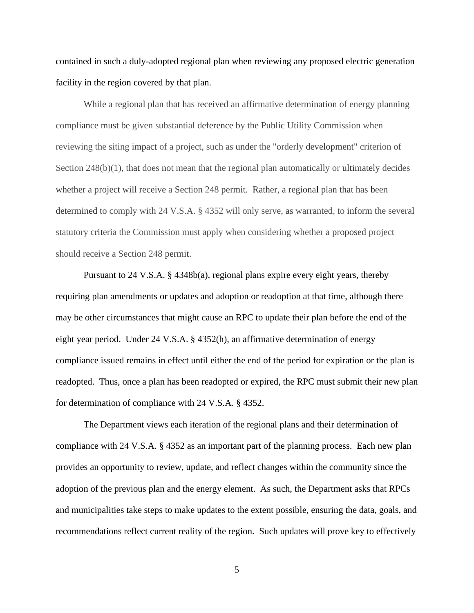contained in such a duly-adopted regional plan when reviewing any proposed electric generation facility in the region covered by that plan.

While a regional plan that has received an affirmative determination of energy planning compliance must be given substantial deference by the Public Utility Commission when reviewing the siting impact of a project, such as under the "orderly development" criterion of Section 248(b)(1), that does not mean that the regional plan automatically or ultimately decides whether a project will receive a Section 248 permit. Rather, a regional plan that has been determined to comply with 24 V.S.A. § 4352 will only serve, as warranted, to inform the several statutory criteria the Commission must apply when considering whether a proposed project should receive a Section 248 permit.

Pursuant to 24 V.S.A. § 4348b(a), regional plans expire every eight years, thereby requiring plan amendments or updates and adoption or readoption at that time, although there may be other circumstances that might cause an RPC to update their plan before the end of the eight year period. Under 24 V.S.A. § 4352(h), an affirmative determination of energy compliance issued remains in effect until either the end of the period for expiration or the plan is readopted. Thus, once a plan has been readopted or expired, the RPC must submit their new plan for determination of compliance with 24 V.S.A. § 4352.

The Department views each iteration of the regional plans and their determination of compliance with 24 V.S.A. § 4352 as an important part of the planning process. Each new plan provides an opportunity to review, update, and reflect changes within the community since the adoption of the previous plan and the energy element. As such, the Department asks that RPCs and municipalities take steps to make updates to the extent possible, ensuring the data, goals, and recommendations reflect current reality of the region. Such updates will prove key to effectively

5